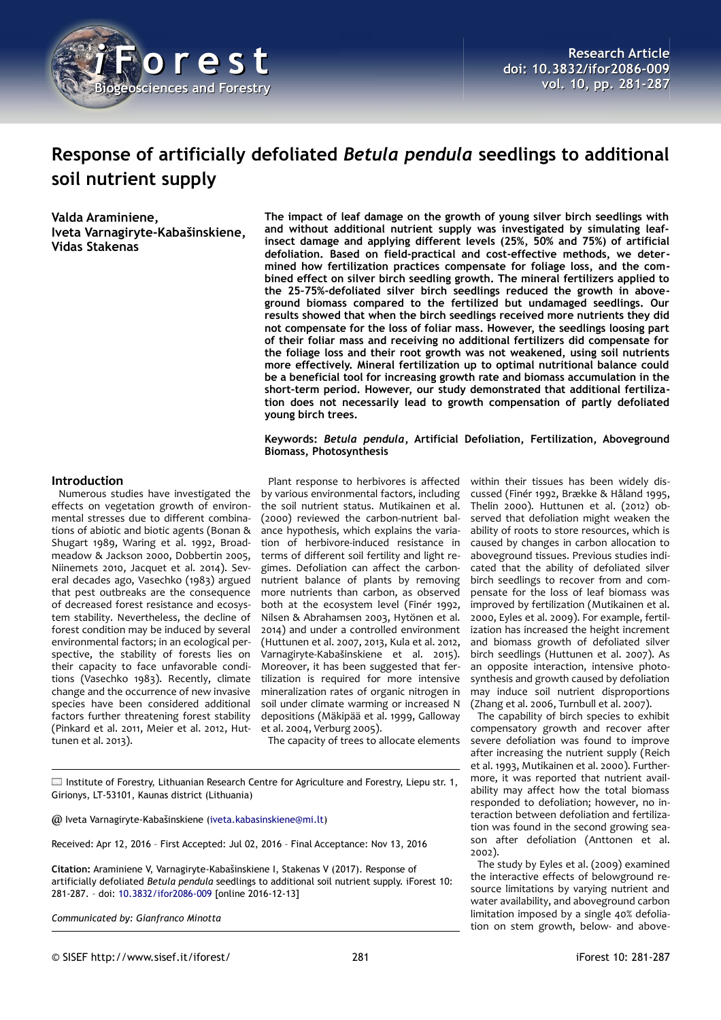

# **Response of artificially defoliated** *Betula pendula* **seedlings to additional soil nutrient supply**

**Valda Araminiene, Iveta Varnagiryte-Kabašinskiene, Vidas Stakenas**

**The impact of leaf damage on the growth of young silver birch seedlings with and without additional nutrient supply was investigated by simulating leafinsect damage and applying different levels (25%, 50% and 75%) of artificial defoliation. Based on field-practical and cost-effective methods, we determined how fertilization practices compensate for foliage loss, and the combined effect on silver birch seedling growth. The mineral fertilizers applied to the 25–75%-defoliated silver birch seedlings reduced the growth in aboveground biomass compared to the fertilized but undamaged seedlings. Our results showed that when the birch seedlings received more nutrients they did not compensate for the loss of foliar mass. However, the seedlings loosing part of their foliar mass and receiving no additional fertilizers did compensate for the foliage loss and their root growth was not weakened, using soil nutrients more effectively. Mineral fertilization up to optimal nutritional balance could be a beneficial tool for increasing growth rate and biomass accumulation in the short-term period. However, our study demonstrated that additional fertilization does not necessarily lead to growth compensation of partly defoliated young birch trees.**

## **Keywords:** *Betula pendula***, Artificial Defoliation, Fertilization, Aboveground Biomass, Photosynthesis**

## **Introduction**

Numerous studies have investigated the effects on vegetation growth of environmental stresses due to different combinations of abiotic and biotic agents (Bonan & Shugart 1989, Waring et al. 1992, Broadmeadow & Jackson 2000, Dobbertin 2005, Niinemets 2010, Jacquet et al. 2014). Several decades ago, Vasechko (1983) argued that pest outbreaks are the consequence of decreased forest resistance and ecosystem stability. Nevertheless, the decline of forest condition may be induced by several environmental factors; in an ecological perspective, the stability of forests lies on their capacity to face unfavorable conditions (Vasechko 1983). Recently, climate change and the occurrence of new invasive species have been considered additional factors further threatening forest stability (Pinkard et al. 2011, Meier et al. 2012, Huttunen et al. 2013).

Plant response to herbivores is affected by various environmental factors, including the soil nutrient status. Mutikainen et al. (2000) reviewed the carbon-nutrient balance hypothesis, which explains the variation of herbivore-induced resistance in terms of different soil fertility and light regimes. Defoliation can affect the carbonnutrient balance of plants by removing more nutrients than carbon, as observed both at the ecosystem level (Finér 1992, Nilsen & Abrahamsen 2003, Hytönen et al. 2014) and under a controlled environment (Huttunen et al. 2007, 2013, Kula et al. 2012, Varnagiryte-Kabašinskiene et al. 2015). Moreover, it has been suggested that fertilization is required for more intensive mineralization rates of organic nitrogen in soil under climate warming or increased N depositions (Mäkipää et al. 1999, Galloway et al. 2004, Verburg 2005).

The capacity of trees to allocate elements

Institute of Forestry, Lithuanian Research Centre for Agriculture and Forestry, Liepu str. 1, Girionys, LT-53101, Kaunas district (Lithuania)

@ Iveta Varnagiryte-Kabašinskiene [\(iveta.kabasinskiene@mi.lt\)](mailto:iveta.kabasinskiene@mi.lt)

Received: Apr 12, 2016 – First Accepted: Jul 02, 2016 – Final Acceptance: Nov 13, 2016

**Citation:** Araminiene V, Varnagiryte-Kabašinskiene I, Stakenas V (2017). Response of artificially defoliated *Betula pendula* seedlings to additional soil nutrient supply. iForest 10: 281-287. – doi: [10.3832/ifor2086-009](http://www.sisef.it/iforest/contents/?id=ifor2086-009) [online 2016-12-13]

*Communicated by: Gianfranco Minotta*

within their tissues has been widely discussed (Finér 1992, Brække & Håland 1995, Thelin 2000). Huttunen et al. (2012) observed that defoliation might weaken the ability of roots to store resources, which is caused by changes in carbon allocation to aboveground tissues. Previous studies indicated that the ability of defoliated silver birch seedlings to recover from and compensate for the loss of leaf biomass was improved by fertilization (Mutikainen et al. 2000, Eyles et al. 2009). For example, fertilization has increased the height increment and biomass growth of defoliated silver birch seedlings (Huttunen et al. 2007). As an opposite interaction, intensive photosynthesis and growth caused by defoliation may induce soil nutrient disproportions (Zhang et al. 2006, Turnbull et al. 2007).

The capability of birch species to exhibit compensatory growth and recover after severe defoliation was found to improve after increasing the nutrient supply (Reich et al. 1993, Mutikainen et al. 2000). Furthermore, it was reported that nutrient availability may affect how the total biomass responded to defoliation; however, no interaction between defoliation and fertilization was found in the second growing season after defoliation (Anttonen et al. 2002).

The study by Eyles et al. (2009) examined the interactive effects of belowground resource limitations by varying nutrient and water availability, and aboveground carbon limitation imposed by a single 40% defoliation on stem growth, below- and above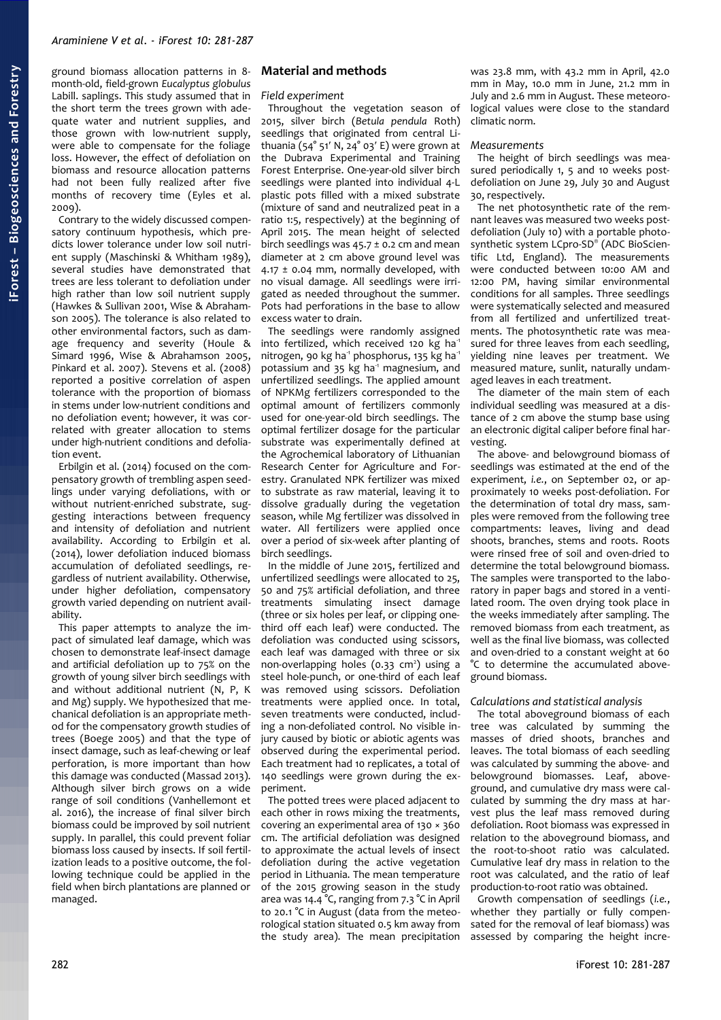ground biomass allocation patterns in 8 month-old, field-grown *Eucalyptus globulus* Labill. saplings. This study assumed that in the short term the trees grown with adequate water and nutrient supplies, and those grown with low-nutrient supply, were able to compensate for the foliage loss. However, the effect of defoliation on biomass and resource allocation patterns had not been fully realized after five months of recovery time (Eyles et al. 2009).

Contrary to the widely discussed compensatory continuum hypothesis, which predicts lower tolerance under low soil nutrient supply (Maschinski & Whitham 1989), several studies have demonstrated that trees are less tolerant to defoliation under high rather than low soil nutrient supply (Hawkes & Sullivan 2001, Wise & Abrahamson 2005). The tolerance is also related to other environmental factors, such as damage frequency and severity (Houle & Simard 1996, Wise & Abrahamson 2005, Pinkard et al. 2007). Stevens et al. (2008) reported a positive correlation of aspen tolerance with the proportion of biomass in stems under low-nutrient conditions and no defoliation event; however, it was correlated with greater allocation to stems under high-nutrient conditions and defoliation event.

Erbilgin et al. (2014) focused on the compensatory growth of trembling aspen seedlings under varying defoliations, with or without nutrient-enriched substrate, suggesting interactions between frequency and intensity of defoliation and nutrient availability. According to Erbilgin et al. (2014), lower defoliation induced biomass accumulation of defoliated seedlings, regardless of nutrient availability. Otherwise, under higher defoliation, compensatory growth varied depending on nutrient availability.

This paper attempts to analyze the impact of simulated leaf damage, which was chosen to demonstrate leaf-insect damage and artificial defoliation up to 75% on the growth of young silver birch seedlings with and without additional nutrient (N, P, K and Mg) supply. We hypothesized that mechanical defoliation is an appropriate method for the compensatory growth studies of trees (Boege 2005) and that the type of insect damage, such as leaf-chewing or leaf perforation, is more important than how this damage was conducted (Massad 2013). Although silver birch grows on a wide range of soil conditions (Vanhellemont et al. 2016), the increase of final silver birch biomass could be improved by soil nutrient supply. In parallel, this could prevent foliar biomass loss caused by insects. If soil fertilization leads to a positive outcome, the following technique could be applied in the field when birch plantations are planned or managed.

# **Material and methods**

## *Field experiment*

Throughout the vegetation season of 2015, silver birch (*Betula pendula* Roth) seedlings that originated from central Lithuania (54° 51′ N, 24° 03′ E) were grown at the Dubrava Experimental and Training Forest Enterprise. One-year-old silver birch seedlings were planted into individual 4-L plastic pots filled with a mixed substrate (mixture of sand and neutralized peat in a ratio 1:5, respectively) at the beginning of April 2015. The mean height of selected birch seedlings was  $45.7 \pm 0.2$  cm and mean diameter at 2 cm above ground level was 4.17  $\pm$  0.04 mm, normally developed, with no visual damage. All seedlings were irrigated as needed throughout the summer. Pots had perforations in the base to allow excess water to drain.

The seedlings were randomly assigned into fertilized, which received 120 kg ha<sup>-1</sup> nitrogen, 90 kg ha<sup>1</sup> phosphorus, 135 kg ha<sup>1</sup> potassium and 35 kg ha<sup>-1</sup> magnesium, and unfertilized seedlings. The applied amount of NPKMg fertilizers corresponded to the optimal amount of fertilizers commonly used for one-year-old birch seedlings. The optimal fertilizer dosage for the particular substrate was experimentally defined at the Agrochemical laboratory of Lithuanian Research Center for Agriculture and Forestry. Granulated NPK fertilizer was mixed to substrate as raw material, leaving it to dissolve gradually during the vegetation season, while Mg fertilizer was dissolved in water. All fertilizers were applied once over a period of six-week after planting of birch seedlings.

In the middle of June 2015, fertilized and unfertilized seedlings were allocated to 25, 50 and 75% artificial defoliation, and three treatments simulating insect damage (three or six holes per leaf, or clipping onethird off each leaf) were conducted. The defoliation was conducted using scissors, each leaf was damaged with three or six non-overlapping holes (0.33 cm<sup>2</sup>) using a steel hole-punch, or one-third of each leaf was removed using scissors. Defoliation treatments were applied once. In total, seven treatments were conducted, including a non-defoliated control. No visible injury caused by biotic or abiotic agents was observed during the experimental period. Each treatment had 10 replicates, a total of 140 seedlings were grown during the experiment.

The potted trees were placed adjacent to each other in rows mixing the treatments, covering an experimental area of 130 × 360 cm. The artificial defoliation was designed to approximate the actual levels of insect defoliation during the active vegetation period in Lithuania. The mean temperature of the 2015 growing season in the study area was 14.4 °C, ranging from 7.3 °C in April to 20.1 °C in August (data from the meteorological station situated 0.5 km away from the study area). The mean precipitation

was 23.8 mm, with 43.2 mm in April, 42.0 mm in May, 10.0 mm in June, 21.2 mm in July and 2.6 mm in August. These meteorological values were close to the standard climatic norm.

## *Measurements*

The height of birch seedlings was measured periodically 1, 5 and 10 weeks postdefoliation on June 29, July 30 and August 30, respectively.

The net photosynthetic rate of the remnant leaves was measured two weeks postdefoliation (July 10) with a portable photosynthetic system LCpro-SD® (ADC BioScientific Ltd, England). The measurements were conducted between 10:00 AM and 12:00 PM, having similar environmental conditions for all samples. Three seedlings were systematically selected and measured from all fertilized and unfertilized treatments. The photosynthetic rate was measured for three leaves from each seedling, yielding nine leaves per treatment. We measured mature, sunlit, naturally undamaged leaves in each treatment.

The diameter of the main stem of each individual seedling was measured at a distance of 2 cm above the stump base using an electronic digital caliper before final harvesting.

The above- and belowground biomass of seedlings was estimated at the end of the experiment, *i.e.*, on September 02, or approximately 10 weeks post-defoliation. For the determination of total dry mass, samples were removed from the following tree compartments: leaves, living and dead shoots, branches, stems and roots. Roots were rinsed free of soil and oven-dried to determine the total belowground biomass. The samples were transported to the laboratory in paper bags and stored in a ventilated room. The oven drying took place in the weeks immediately after sampling. The removed biomass from each treatment, as well as the final live biomass, was collected and oven-dried to a constant weight at 60 °C to determine the accumulated aboveground biomass.

## *Calculations and statistical analysis*

The total aboveground biomass of each tree was calculated by summing the masses of dried shoots, branches and leaves. The total biomass of each seedling was calculated by summing the above- and belowground biomasses. Leaf, aboveground, and cumulative dry mass were calculated by summing the dry mass at harvest plus the leaf mass removed during defoliation. Root biomass was expressed in relation to the aboveground biomass, and the root-to-shoot ratio was calculated. Cumulative leaf dry mass in relation to the root was calculated, and the ratio of leaf production-to-root ratio was obtained.

Growth compensation of seedlings (*i.e.*, whether they partially or fully compensated for the removal of leaf biomass) was assessed by comparing the height incre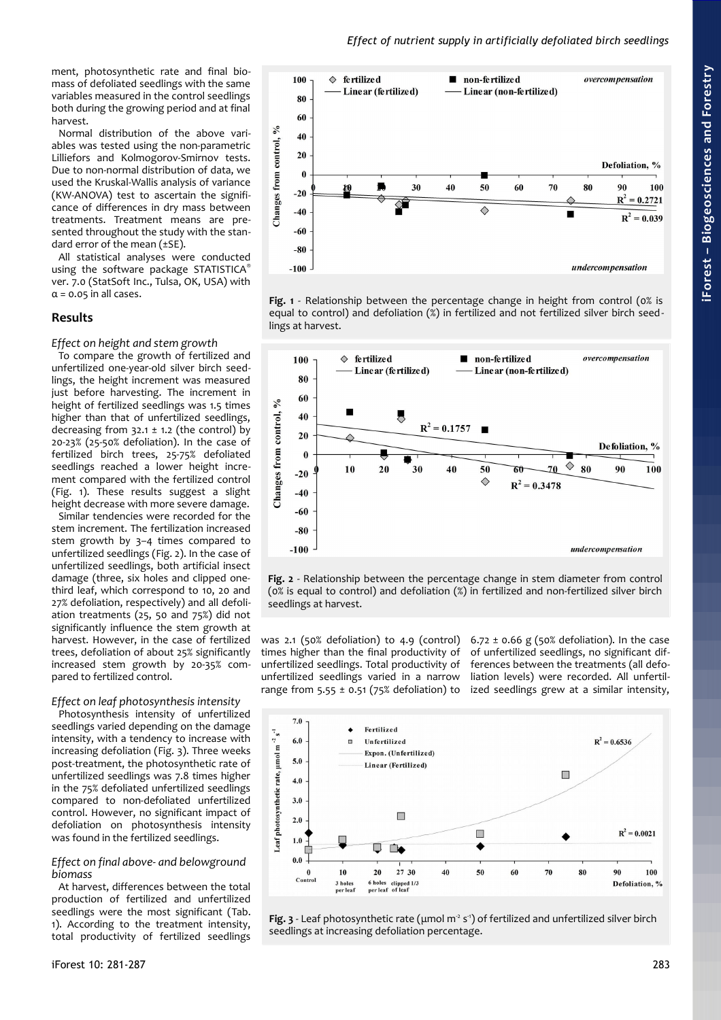ment, photosynthetic rate and final biomass of defoliated seedlings with the same variables measured in the control seedlings both during the growing period and at final

harvest. Normal distribution of the above variables was tested using the non-parametric Lilliefors and Kolmogorov-Smirnov tests. Due to non-normal distribution of data, we used the Kruskal-Wallis analysis of variance (KW-ANOVA) test to ascertain the significance of differences in dry mass between treatments. Treatment means are presented throughout the study with the standard error of the mean (±SE).

All statistical analyses were conducted using the software package STATISTICA® ver. 7.0 (StatSoft Inc., Tulsa, OK, USA) with  $\alpha$  = 0.05 in all cases.

## **Results**

## *Effect on height and stem growth*

To compare the growth of fertilized and unfertilized one-year-old silver birch seedlings, the height increment was measured just before harvesting. The increment in height of fertilized seedlings was 1.5 times higher than that of unfertilized seedlings, decreasing from  $32.1 \pm 1.2$  (the control) by 20-23% (25-50% defoliation). In the case of fertilized birch trees, 25-75% defoliated seedlings reached a lower height increment compared with the fertilized control [\(Fig. 1\)](#page-2-0). These results suggest a slight height decrease with more severe damage.

Similar tendencies were recorded for the stem increment. The fertilization increased stem growth by 3–4 times compared to unfertilized seedlings [\(Fig. 2\)](#page-2-2). In the case of unfertilized seedlings, both artificial insect damage (three, six holes and clipped onethird leaf, which correspond to 10, 20 and 27% defoliation, respectively) and all defoliation treatments (25, 50 and 75%) did not significantly influence the stem growth at harvest. However, in the case of fertilized trees, defoliation of about 25% significantly increased stem growth by 20-35% compared to fertilized control.

## *Effect on leaf photosynthesis intensity*

Photosynthesis intensity of unfertilized seedlings varied depending on the damage intensity, with a tendency to increase with increasing defoliation [\(Fig. 3\)](#page-2-1). Three weeks post-treatment, the photosynthetic rate of unfertilized seedlings was 7.8 times higher in the 75% defoliated unfertilized seedlings compared to non-defoliated unfertilized control. However, no significant impact of defoliation on photosynthesis intensity was found in the fertilized seedlings.

## *Effect on final above- and belowground biomass*

At harvest, differences between the total production of fertilized and unfertilized seedlings were the most significant [\(Tab.](#page-3-0) [1\)](#page-3-0). According to the treatment intensity, total productivity of fertilized seedlings



*Effect of nutrient supply in artificially defoliated birch seedlings*

<span id="page-2-0"></span>**Fig. 1** - Relationship between the percentage change in height from control (0% is equal to control) and defoliation (%) in fertilized and not fertilized silver birch seedlings at harvest.



<span id="page-2-2"></span>**Fig. 2** - Relationship between the percentage change in stem diameter from control (0% is equal to control) and defoliation (%) in fertilized and non-fertilized silver birch seedlings at harvest.

was 2.1 (50% defoliation) to 4.9 (control) times higher than the final productivity of unfertilized seedlings. Total productivity of unfertilized seedlings varied in a narrow range from  $5.55 \pm 0.51$  (75% defoliation) to

6.72  $\pm$  0.66 g (50% defoliation). In the case of unfertilized seedlings, no significant differences between the treatments (all defoliation levels) were recorded. All unfertilized seedlings grew at a similar intensity,



<span id="page-2-1"></span>Fig. 3 - Leaf photosynthetic rate (μmol m<sup>2</sup> s<sup>-1</sup>) of fertilized and unfertilized silver birch seedlings at increasing defoliation percentage.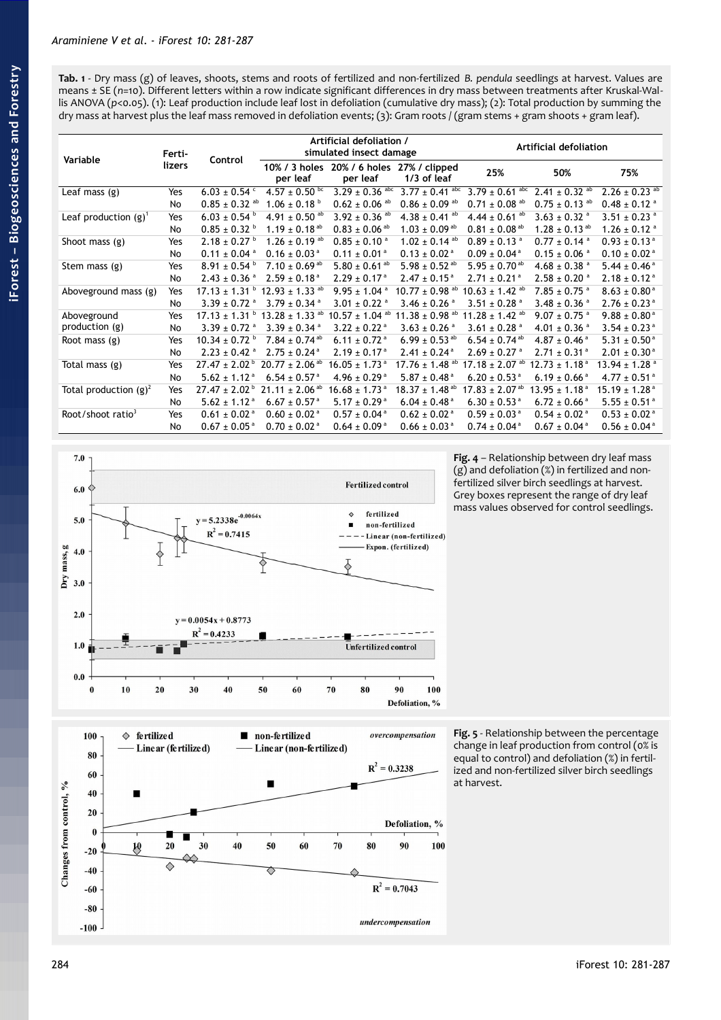<span id="page-3-0"></span>

| Variable                      | Ferti-<br>lizers | Control                                               | Artificial defoliation /<br>simulated insect damage |                                                       |                                | Artificial defoliation         |                               |                               |
|-------------------------------|------------------|-------------------------------------------------------|-----------------------------------------------------|-------------------------------------------------------|--------------------------------|--------------------------------|-------------------------------|-------------------------------|
|                               |                  |                                                       | per leaf                                            | 10% / 3 holes 20% / 6 holes 27% / clipped<br>per leaf | $1/3$ of leaf                  | 25%                            | 50%                           | 75%                           |
| Leaf mass (g)                 | Yes              | $6.03 \pm 0.54$ °                                     | 4.57 ± 0.50 bc                                      | $3.29 \pm 0.36$ abc                                   | $3.77 \pm 0.41$ abc            | $3.79 \pm 0.61$ abc            | $2.41 \pm 0.32$ <sup>ab</sup> | $2.26 \pm 0.23$ <sup>ab</sup> |
|                               | No               | $0.85 \pm 0.32$ <sup>ab</sup>                         | $1.06 \pm 0.18^{\circ}$                             | $0.62 \pm 0.06$ <sup>ab</sup>                         | $0.86 \pm 0.09$ <sup>ab</sup>  | $0.71 \pm 0.08$ <sup>ab</sup>  | $0.75 \pm 0.13$ <sup>ab</sup> | $0.48 \pm 0.12$ <sup>a</sup>  |
| Leaf production $(g)^1$       | Yes              | $6.03 \pm 0.54$                                       | 4.91 $\pm$ 0.50 <sup>ab</sup>                       | $3.92 \pm 0.36$ <sup>ab</sup>                         | 4.38 $\pm$ 0.41 <sup>ab</sup>  | 4.44 ± $0.61$ <sup>ab</sup>    | $3.63 \pm 0.32$ <sup>a</sup>  | 3.51 ± 0.23 $a$               |
|                               | No               | $0.85 \pm 0.32$                                       | 1.19 $\pm$ 0.18 <sup>ab</sup>                       | $0.83 \pm 0.06$ <sup>ab</sup>                         | $1.03 \pm 0.09$ <sup>ab</sup>  | $0.81 \pm 0.08$ <sup>ab</sup>  | $1.28 \pm 0.13$ <sup>ab</sup> | $1.26 \pm 0.12$ <sup>a</sup>  |
| Shoot mass $(g)$              | Yes              | $2.18 \pm 0.27$ <sup>b</sup>                          | $1.26 \pm 0.19$ <sup>ab</sup>                       | $0.85 \pm 0.10$ <sup>a</sup>                          | $1.02 \pm 0.14$ <sup>ab</sup>  | $0.89 \pm 0.13$ <sup>a</sup>   | $0.77 \pm 0.14$ <sup>a</sup>  | $0.93 \pm 0.13$ <sup>a</sup>  |
|                               | No               | $0.11 \pm 0.04$ <sup>a</sup>                          | $0.16 \pm 0.03$ <sup>a</sup>                        | $0.11 \pm 0.01^{\text{ a}}$                           | $0.13 \pm 0.02$ <sup>a</sup>   | $0.09 \pm 0.04$ <sup>a</sup>   | $0.15 \pm 0.06$ <sup>a</sup>  | $0.10 \pm 0.02$ <sup>a</sup>  |
| Stem mass (g)                 | Yes              | $8.91 \pm 0.54^{\text{ b}}$                           | 7.10 $\pm$ 0.69 <sup>ab</sup>                       | 5.80 $\pm$ 0.61 <sup>ab</sup>                         | 5.98 $\pm$ 0.52 <sup>ab</sup>  | 5.95 $\pm$ 0.70 <sup>ab</sup>  | $4.68 \pm 0.38$ <sup>a</sup>  | 5.44 ± 0.46 $a$               |
|                               | No               | $2.43 \pm 0.36$ <sup>a</sup>                          | $2.59 \pm 0.18$ <sup>a</sup>                        | $2.29 \pm 0.17$ <sup>a</sup>                          | $2.47 \pm 0.15^{\text{ a}}$    | $2.71 \pm 0.21$ <sup>a</sup>   | $2.58 \pm 0.20$ <sup>a</sup>  | $2.18 \pm 0.12$ <sup>a</sup>  |
| Aboveground mass (g)          | Yes              | $17.13 \pm 1.31$ $\degree$ $12.93 \pm 1.33$ $\degree$ |                                                     | $9.95 \pm 1.04$ <sup>a</sup>                          | $10.77 \pm 0.98$ <sup>ab</sup> | $10.63 \pm 1.42$ <sup>ab</sup> | $7.85 \pm 0.75$ <sup>a</sup>  | $8.63 \pm 0.80^{\circ}$       |
|                               | No               | $3.39 \pm 0.72$ <sup>a</sup>                          | $3.79 \pm 0.34$ <sup>a</sup>                        | $3.01 \pm 0.22$ <sup>a</sup>                          | $3.46 \pm 0.26$ <sup>a</sup>   | 3.51 $\pm$ 0.28 $^{a}$         | $3.48 \pm 0.36$ <sup>a</sup>  | $2.76 \pm 0.23$ <sup>a</sup>  |
| Aboveground<br>production (g) | Yes              | $17.13 \pm 1.31$ b                                    | 13.28 $\pm$ 1.33 <sup>ab</sup>                      | $10.57 \pm 1.04$ <sup>ab</sup>                        | 11.38 $\pm$ 0.98 <sup>ab</sup> | 11.28 $\pm$ 1.42 <sup>ab</sup> | $9.07 \pm 0.75$ <sup>a</sup>  | $9.88 \pm 0.80^{\text{ a}}$   |
|                               | No               | $3.39 \pm 0.72$ <sup>a</sup>                          | $3.39 \pm 0.34$ <sup>a</sup>                        | $3.22 \pm 0.22$ <sup>a</sup>                          | $3.63 \pm 0.26$ <sup>a</sup>   | $3.61 \pm 0.28$ <sup>a</sup>   | 4.01 ± 0.36 $a$               | $3.54 \pm 0.23$ <sup>a</sup>  |
| Root mass $(g)$               | Yes              | $10.34 \pm 0.72$ <sup>b</sup>                         | $7.84 \pm 0.74$ <sup>ab</sup>                       | 6.11 $\pm$ 0.72 <sup>a</sup>                          | 6.99 ± 0.53 ab                 | $6.54 \pm 0.74$ <sup>ab</sup>  | $4.87 \pm 0.46$ <sup>a</sup>  | $5.31 \pm 0.50^{\circ}$       |
|                               | No               | $2.23 \pm 0.42$ <sup>a</sup>                          | $2.75 \pm 0.24$ <sup>a</sup>                        | $2.19 \pm 0.17^{\text{ a}}$                           | $2.41 \pm 0.24$ <sup>a</sup>   | $2.69 \pm 0.27$ <sup>a</sup>   | $2.71 \pm 0.31$ <sup>a</sup>  | $2.01 \pm 0.30^{\text{ a}}$   |
| Total mass (g)                | Yes              | $27.47 \pm 2.02^{\circ}$                              | $20.77 \pm 2.06$ <sup>ab</sup>                      | $16.05 \pm 1.73$ <sup>a</sup>                         | 17.76 ± 1.48 <sup>ab</sup>     | 17.18 $\pm$ 2.07 <sup>ab</sup> | $12.73 \pm 1.18^{\text{ a}}$  | $13.94 \pm 1.28$ <sup>a</sup> |
|                               | No               | $5.62 \pm 1.12$ <sup>a</sup>                          | $6.54 \pm 0.57$ <sup>a</sup>                        | $4.96 \pm 0.29$ <sup>a</sup>                          | 5.87 ± 0.48 $a$                | $6.20 \pm 0.53$ <sup>a</sup>   | $6.19 \pm 0.66$ <sup>a</sup>  | $4.77 \pm 0.51$ <sup>a</sup>  |
| Total production $(g)^2$      | Yes              | $27.47 \pm 2.02^{\circ}$                              | $21.11 \pm 2.06$ <sup>ab</sup>                      | $16.68 \pm 1.73$ <sup>a</sup>                         | $18.37 \pm 1.48$ <sup>ab</sup> | 17.83 $\pm$ 2.07 <sup>ab</sup> | $13.95 \pm 1.18^{\circ}$      | $15.19 \pm 1.28$ <sup>a</sup> |
|                               | No               | $5.62 \pm 1.12$ <sup>a</sup>                          | $6.67 \pm 0.57$ <sup>a</sup>                        | $5.17 \pm 0.29$ <sup>a</sup>                          | $6.04 \pm 0.48$ <sup>a</sup>   | $6.30 \pm 0.53$ <sup>a</sup>   | $6.72 \pm 0.66$ <sup>a</sup>  | $5.55 \pm 0.51$ <sup>a</sup>  |
| Root/shoot ratio <sup>3</sup> | Yes              | $0.61 \pm 0.02$ <sup>a</sup>                          | $0.60 \pm 0.02$ <sup>a</sup>                        | $0.57 \pm 0.04^{\text{ a}}$                           | $0.62 \pm 0.02$ <sup>a</sup>   | $0.59 \pm 0.03$ <sup>a</sup>   | $0.54 \pm 0.02$ <sup>a</sup>  | $0.53 \pm 0.02$ <sup>a</sup>  |
|                               | No               | $0.67 \pm 0.05^{\text{ a}}$                           | $0.70 \pm 0.02$ <sup>a</sup>                        | $0.64 \pm 0.09^{\text{ a}}$                           | $0.66 \pm 0.03$ <sup>a</sup>   | $0.74 \pm 0.04^{\text{ a}}$    | $0.67 \pm 0.04^{\text{ a}}$   | $0.56 \pm 0.04^{\text{ a}}$   |



<span id="page-3-2"></span>



<span id="page-3-1"></span>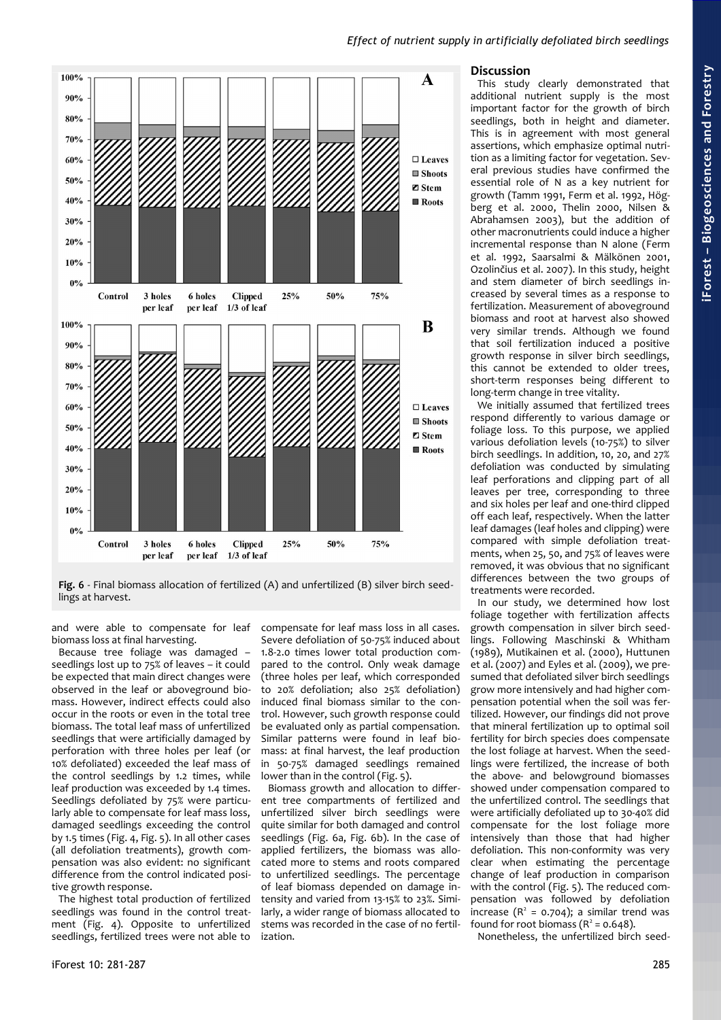

<span id="page-4-0"></span>Fig. 6 - Final biomass allocation of fertilized (A) and unfertilized (B) silver birch seedlings at harvest.

and were able to compensate for leaf biomass loss at final harvesting.

Because tree foliage was damaged – seedlings lost up to 75% of leaves – it could be expected that main direct changes were observed in the leaf or aboveground biomass. However, indirect effects could also occur in the roots or even in the total tree biomass. The total leaf mass of unfertilized seedlings that were artificially damaged by perforation with three holes per leaf (or 10% defoliated) exceeded the leaf mass of the control seedlings by 1.2 times, while leaf production was exceeded by 1.4 times. Seedlings defoliated by 75% were particularly able to compensate for leaf mass loss, damaged seedlings exceeding the control by 1.5 times [\(Fig. 4,](#page-3-2) [Fig. 5\)](#page-3-1). In all other cases (all defoliation treatments), growth compensation was also evident: no significant difference from the control indicated positive growth response.

The highest total production of fertilized seedlings was found in the control treatment [\(Fig. 4\)](#page-3-2). Opposite to unfertilized seedlings, fertilized trees were not able to compensate for leaf mass loss in all cases. Severe defoliation of 50-75% induced about 1.8-2.0 times lower total production compared to the control. Only weak damage (three holes per leaf, which corresponded to 20% defoliation; also 25% defoliation) induced final biomass similar to the control. However, such growth response could be evaluated only as partial compensation. Similar patterns were found in leaf biomass: at final harvest, the leaf production in 50-75% damaged seedlings remained lower than in the control [\(Fig. 5\)](#page-3-1).

Biomass growth and allocation to different tree compartments of fertilized and unfertilized silver birch seedlings were quite similar for both damaged and control seedlings [\(Fig. 6a](#page-4-0), [Fig. 6b](#page-4-0)). In the case of applied fertilizers, the biomass was allocated more to stems and roots compared to unfertilized seedlings. The percentage of leaf biomass depended on damage intensity and varied from 13-15% to 23%. Similarly, a wider range of biomass allocated to stems was recorded in the case of no fertilization.

## **Discussion**

This study clearly demonstrated that additional nutrient supply is the most important factor for the growth of birch seedlings, both in height and diameter. This is in agreement with most general assertions, which emphasize optimal nutrition as a limiting factor for vegetation. Several previous studies have confirmed the essential role of N as a key nutrient for growth (Tamm 1991, Ferm et al. 1992, Högberg et al. 2000, Thelin 2000, Nilsen & Abrahamsen 2003), but the addition of other macronutrients could induce a higher incremental response than N alone (Ferm et al. 1992, Saarsalmi & Mälkönen 2001, Ozolinčius et al. 2007). In this study, height and stem diameter of birch seedlings increased by several times as a response to fertilization. Measurement of aboveground biomass and root at harvest also showed very similar trends. Although we found that soil fertilization induced a positive growth response in silver birch seedlings, this cannot be extended to older trees, short-term responses being different to long-term change in tree vitality.

We initially assumed that fertilized trees respond differently to various damage or foliage loss. To this purpose, we applied various defoliation levels (10-75%) to silver birch seedlings. In addition, 10, 20, and 27% defoliation was conducted by simulating leaf perforations and clipping part of all leaves per tree, corresponding to three and six holes per leaf and one-third clipped off each leaf, respectively. When the latter leaf damages (leaf holes and clipping) were compared with simple defoliation treatments, when 25, 50, and 75% of leaves were removed, it was obvious that no significant differences between the two groups of treatments were recorded.

In our study, we determined how lost foliage together with fertilization affects growth compensation in silver birch seedlings. Following Maschinski & Whitham (1989), Mutikainen et al. (2000), Huttunen et al. (2007) and Eyles et al. (2009), we presumed that defoliated silver birch seedlings grow more intensively and had higher compensation potential when the soil was fertilized. However, our findings did not prove that mineral fertilization up to optimal soil fertility for birch species does compensate the lost foliage at harvest. When the seedlings were fertilized, the increase of both the above- and belowground biomasses showed under compensation compared to the unfertilized control. The seedlings that were artificially defoliated up to 30-40% did compensate for the lost foliage more intensively than those that had higher defoliation. This non-conformity was very clear when estimating the percentage change of leaf production in comparison with the control [\(Fig. 5\)](#page-3-1). The reduced compensation was followed by defoliation increase  $(R^2 = 0.704)$ ; a similar trend was found for root biomass  $(R^2 = 0.648)$ .

Nonetheless, the unfertilized birch seed-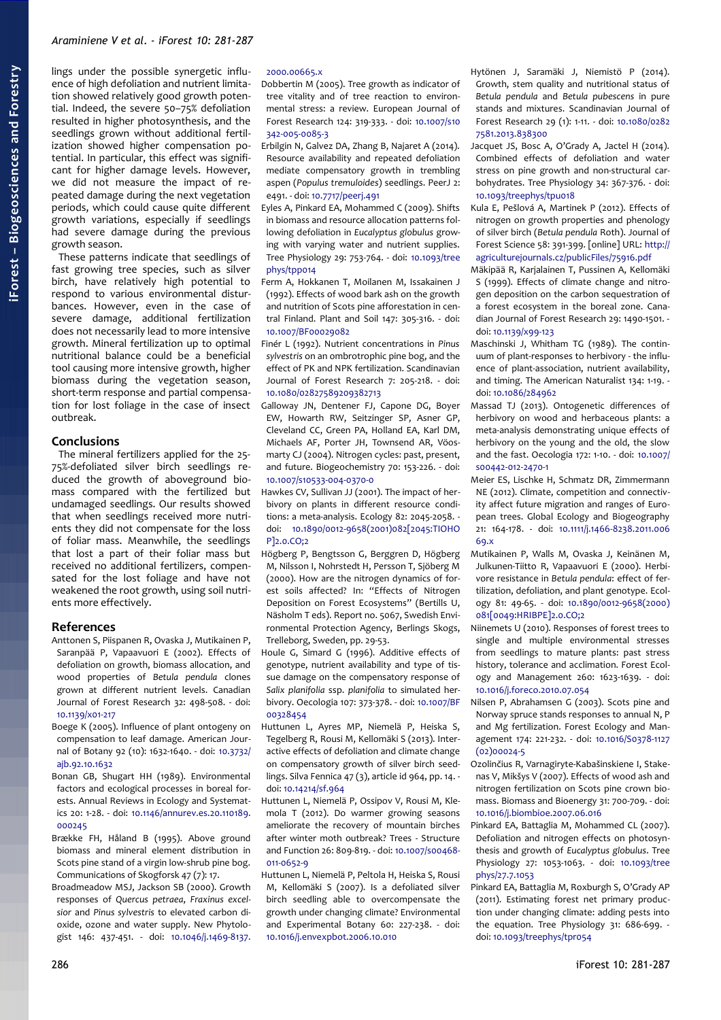lings under the possible synergetic influence of high defoliation and nutrient limitation showed relatively good growth potential. Indeed, the severe 50–75% defoliation resulted in higher photosynthesis, and the seedlings grown without additional fertilization showed higher compensation potential. In particular, this effect was significant for higher damage levels. However, we did not measure the impact of repeated damage during the next vegetation periods, which could cause quite different growth variations, especially if seedlings had severe damage during the previous growth season.

These patterns indicate that seedlings of fast growing tree species, such as silver birch, have relatively high potential to respond to various environmental disturbances. However, even in the case of severe damage, additional fertilization does not necessarily lead to more intensive growth. Mineral fertilization up to optimal nutritional balance could be a beneficial tool causing more intensive growth, higher biomass during the vegetation season, short-term response and partial compensation for lost foliage in the case of insect outbreak.

## **Conclusions**

The mineral fertilizers applied for the 25- 75%-defoliated silver birch seedlings reduced the growth of aboveground biomass compared with the fertilized but undamaged seedlings. Our results showed that when seedlings received more nutrients they did not compensate for the loss of foliar mass. Meanwhile, the seedlings that lost a part of their foliar mass but received no additional fertilizers, compensated for the lost foliage and have not weakened the root growth, using soil nutrients more effectively.

## **References**

- Anttonen S, Piispanen R, Ovaska J, Mutikainen P, Saranpää P, Vapaavuori E (2002). Effects of defoliation on growth, biomass allocation, and wood properties of *Betula pendula* clones grown at different nutrient levels. Canadian Journal of Forest Research 32: 498-508. - doi: [10.1139/x01-217](http://dx.doi.org/10.1139/x01-217)
- Boege K (2005). Influence of plant ontogeny on compensation to leaf damage. American Journal of Botany 92 (10): 1632-1640. - doi: [10.3732/](http://dx.doi.org/10.3732/ajb.92.10.1632) [ajb.92.10.1632](http://dx.doi.org/10.3732/ajb.92.10.1632)
- Bonan GB, Shugart HH (1989). Environmental factors and ecological processes in boreal forests. Annual Reviews in Ecology and Systematics 20: 1-28. - doi: [10.1146/annurev.es.20.110189.](http://dx.doi.org/10.1146/annurev.es.20.110189.000245) [000245](http://dx.doi.org/10.1146/annurev.es.20.110189.000245)
- Brække FH, Håland B (1995). Above ground biomass and mineral element distribution in Scots pine stand of a virgin low-shrub pine bog. Communications of Skogforsk 47 (7): 17.
- Broadmeadow MSJ, Jackson SB (2000). Growth responses of *Quercus petraea*, *Fraxinus excelsior* and *Pinus sylvestris* to elevated carbon dioxide, ozone and water supply. New Phytologist 146: 437-451. - doi: [10.1046/j.1469-8137.](http://dx.doi.org/10.1046/j.1469-8137.2000.00665.x)

#### [2000.00665.x](http://dx.doi.org/10.1046/j.1469-8137.2000.00665.x)

- Dobbertin M (2005). Tree growth as indicator of tree vitality and of tree reaction to environmental stress: a review. European Journal of Forest Research 124: 319-333. - doi: [10.1007/s10](http://dx.doi.org/10.1007/s10342-005-0085-3) [342-005-0085-3](http://dx.doi.org/10.1007/s10342-005-0085-3)
- Erbilgin N, Galvez DA, Zhang B, Najaret A (2014). Resource availability and repeated defoliation mediate compensatory growth in trembling aspen (*Populus tremuloides*) seedlings. PeerJ 2: e491. - doi: [10.7717/peerj.491](http://dx.doi.org/10.7717/peerj.491)
- Eyles A, Pinkard EA, Mohammed C (2009). Shifts in biomass and resource allocation patterns following defoliation in *Eucalyptus globulus* growing with varying water and nutrient supplies. Tree Physiology 29: 753-764. - doi: [10.1093/tree](http://dx.doi.org/10.1093/treephys/tpp014) [phys/tpp014](http://dx.doi.org/10.1093/treephys/tpp014)
- Ferm A, Hokkanen T, Moilanen M, Issakainen J (1992). Effects of wood bark ash on the growth and nutrition of Scots pine afforestation in central Finland. Plant and Soil 147: 305-316. - doi: [10.1007/BF00029082](http://dx.doi.org/10.1007/BF00029082)
- Finér L (1992). Nutrient concentrations in *Pinus sylvestris* on an ombrotrophic pine bog, and the effect of PK and NPK fertilization. Scandinavian Journal of Forest Research 7: 205-218. - doi: [10.1080/02827589209382713](http://dx.doi.org/10.1080/02827589209382713)
- Galloway JN, Dentener FJ, Capone DG, Boyer EW, Howarth RW, Seitzinger SP, Asner GP, Cleveland CC, Green PA, Holland EA, Karl DM, Michaels AF, Porter JH, Townsend AR, Vöosmarty CJ (2004). Nitrogen cycles: past, present, and future. Biogeochemistry 70: 153-226. - doi: [10.1007/s10533-004-0370-0](http://dx.doi.org/10.1007/s10533-004-0370-0)
- Hawkes CV, Sullivan JJ (2001). The impact of herbivory on plants in different resource conditions: a meta-analysis. Ecology 82: 2045-2058. doi: [10.1890/0012-9658\(2001\)082\[2045:TIOHO](http://dx.doi.org/10.1890/0012-9658(2001)082%5B2045:TIOHOP%5D2.0.CO;2) [P\]2.0.CO;2](http://dx.doi.org/10.1890/0012-9658(2001)082%5B2045:TIOHOP%5D2.0.CO;2)
- Högberg P, Bengtsson G, Berggren D, Högberg M, Nilsson I, Nohrstedt H, Persson T, Sjöberg M (2000). How are the nitrogen dynamics of forest soils affected? In: "Effects of Nitrogen Deposition on Forest Ecosystems" (Bertills U, Näsholm T eds). Report no. 5067, Swedish Environmental Protection Agency, Berlings Skogs, Trelleborg, Sweden, pp. 29-53.
- Houle G, Simard G (1996). Additive effects of genotype, nutrient availability and type of tissue damage on the compensatory response of *Salix planifolia* ssp. *planifolia* to simulated herbivory. Oecologia 107: 373-378. - doi: [10.1007/BF](http://dx.doi.org/10.1007/BF00328454) [00328454](http://dx.doi.org/10.1007/BF00328454)
- Huttunen L, Ayres MP, Niemelä P, Heiska S, Tegelberg R, Rousi M, Kellomäki S (2013). Interactive effects of defoliation and climate change on compensatory growth of silver birch seedlings. Silva Fennica 47 (3), article id 964, pp. 14. doi: [10.14214/sf.964](http://dx.doi.org/10.14214/sf.964)
- Huttunen L, Niemelä P, Ossipov V, Rousi M, Klemola T (2012). Do warmer growing seasons ameliorate the recovery of mountain birches after winter moth outbreak? Trees - Structure and Function 26: 809-819. - doi: [10.1007/s00468-](http://dx.doi.org/10.1007/s00468-011-0652-9) [011-0652-9](http://dx.doi.org/10.1007/s00468-011-0652-9)
- Huttunen L, Niemelä P, Peltola H, Heiska S, Rousi M, Kellomäki S (2007). Is a defoliated silver birch seedling able to overcompensate the growth under changing climate? Environmental and Experimental Botany 60: 227-238. - doi: [10.1016/j.envexpbot.2006.10.010](http://dx.doi.org/10.1016/j.envexpbot.2006.10.010)
- Hytönen J, Saramäki J, Niemistö P (2014). Growth, stem quality and nutritional status of *Betula pendula* and *Betula pubescens* in pure stands and mixtures. Scandinavian Journal of Forest Research 29 (1): 1-11. - doi: [10.1080/0282](http://dx.doi.org/10.1080/02827581.2013.838300) [7581.2013.838300](http://dx.doi.org/10.1080/02827581.2013.838300)
- Jacquet JS, Bosc A, O'Grady A, Jactel H (2014). Combined effects of defoliation and water stress on pine growth and non-structural carbohydrates. Tree Physiology 34: 367-376. - doi: [10.1093/treephys/tpu018](http://dx.doi.org/10.1093/treephys/tpu018)
- Kula E, Pešlová A, Martinek P (2012). Effects of nitrogen on growth properties and phenology of silver birch (*Betula pendula* Roth). Journal of Forest Science 58: 391-399. [online] URL: [http://](http://agriculturejournals.cz/publicFiles/75916.pdf) [agriculturejournals.cz/publicFiles/75916.pdf](http://agriculturejournals.cz/publicFiles/75916.pdf)
- Mäkipää R, Karjalainen T, Pussinen A, Kellomäki S (1999). Effects of climate change and nitrogen deposition on the carbon sequestration of a forest ecosystem in the boreal zone. Canadian Journal of Forest Research 29: 1490-1501. doi: [10.1139/x99-123](http://dx.doi.org/10.1139/x99-123)
- Maschinski J, Whitham TG (1989). The continuum of plant-responses to herbivory - the influence of plant-association, nutrient availability, and timing. The American Naturalist 134: 1-19. doi: [10.1086/284962](http://dx.doi.org/10.1086/284962)
- Massad TJ (2013). Ontogenetic differences of herbivory on wood and herbaceous plants: a meta-analysis demonstrating unique effects of herbivory on the young and the old, the slow and the fast. Oecologia 172: 1-10. - doi: [10.1007/](http://dx.doi.org/10.1007/s00442-012-2470-1) [s00442-012-2470-1](http://dx.doi.org/10.1007/s00442-012-2470-1)
- Meier ES, Lischke H, Schmatz DR, Zimmermann NE (2012). Climate, competition and connectivity affect future migration and ranges of European trees. Global Ecology and Biogeography 21: 164-178. - doi: [10.1111/j.1466-8238.2011.006](http://dx.doi.org/10.1111/j.1466-8238.2011.00669.x) [69.x](http://dx.doi.org/10.1111/j.1466-8238.2011.00669.x)
- Mutikainen P, Walls M, Ovaska J, Keinänen M, Julkunen-Tiitto R, Vapaavuori E (2000). Herbivore resistance in *Betula pendula*: effect of fertilization, defoliation, and plant genotype. Ecology 81: 49-65. - doi: [10.1890/0012-9658\(2000\)](http://dx.doi.org/10.1890/0012-9658(2000)081%5B0049:HRIBPE%5D2.0.CO;2) [081\[0049:HRIBPE\]2.0.CO;2](http://dx.doi.org/10.1890/0012-9658(2000)081%5B0049:HRIBPE%5D2.0.CO;2)
- Niinemets U (2010). Responses of forest trees to single and multiple environmental stresses from seedlings to mature plants: past stress history, tolerance and acclimation. Forest Ecology and Management 260: 1623-1639. - doi: [10.1016/j.foreco.2010.07.054](http://dx.doi.org/10.1016/j.foreco.2010.07.054)
- Nilsen P, Abrahamsen G (2003). Scots pine and Norway spruce stands responses to annual N, P and Mg fertilization. Forest Ecology and Management 174: 221-232. - doi: [10.1016/S0378-1127](http://dx.doi.org/10.1016/S0378-1127(02)00024-5) [\(02\)00024-5](http://dx.doi.org/10.1016/S0378-1127(02)00024-5)
- Ozolinčius R, Varnagiryte-Kabašinskiene I, Stakenas V, Mikšys V (2007). Effects of wood ash and nitrogen fertilization on Scots pine crown biomass. Biomass and Bioenergy 31: 700-709. - doi: [10.1016/j.biombioe.2007.06.016](http://dx.doi.org/10.1016/j.biombioe.2007.06.016)
- Pinkard EA, Battaglia M, Mohammed CL (2007). Defoliation and nitrogen effects on photosynthesis and growth of *Eucalyptus globulus*. Tree Physiology 27: 1053-1063. - doi: [10.1093/tree](http://dx.doi.org/10.1093/treephys/27.7.1053) [phys/27.7.1053](http://dx.doi.org/10.1093/treephys/27.7.1053)
- Pinkard EA, Battaglia M, Roxburgh S, O'Grady AP (2011). Estimating forest net primary production under changing climate: adding pests into the equation. Tree Physiology 31: 686-699. doi: [10.1093/treephys/tpr054](http://dx.doi.org/10.1093/treephys/tpr054)